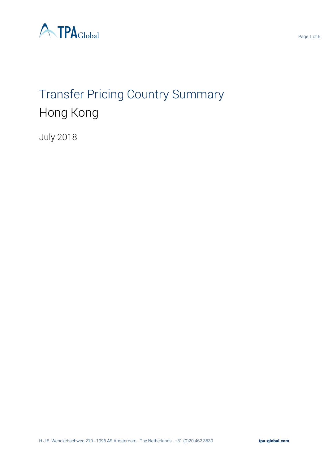

# Transfer Pricing Country Summary Hong Kong

July 2018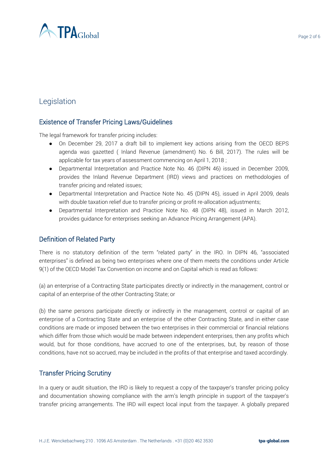

# Legislation

## Existence of Transfer Pricing Laws/Guidelines

The legal framework for transfer pricing includes:

- On December 29, 2017 a draft bill to implement key actions arising from the OECD BEPS agenda was gazetted ( Inland Revenue (amendment) No. 6 Bill, 2017). The rules will be applicable for tax years of assessment commencing on April 1, 2018 ;
- Departmental Interpretation and Practice Note No. 46 (DIPN 46) issued in December 2009, provides the Inland Revenue Department (IRD) views and practices on methodologies of transfer pricing and related issues;
- Departmental Interpretation and Practice Note No. 45 (DIPN 45), issued in April 2009, deals with double taxation relief due to transfer pricing or profit re-allocation adjustments;
- Departmental Interpretation and Practice Note No. 48 (DIPN 48), issued in March 2012, provides guidance for enterprises seeking an Advance Pricing Arrangement (APA).

## Definition of Related Party

There is no statutory definition of the term "related party" in the IRO. In DIPN 46, "associated enterprises" is defined as being two enterprises where one of them meets the conditions under Article 9(1) of the OECD Model Tax Convention on income and on Capital which is read as follows:

(a) an enterprise of a Contracting State participates directly or indirectly in the management, control or capital of an enterprise of the other Contracting State; or

(b) the same persons participate directly or indirectly in the management, control or capital of an enterprise of a Contracting State and an enterprise of the other Contracting State, and in either case conditions are made or imposed between the two enterprises in their commercial or financial relations which differ from those which would be made between independent enterprises, then any profits which would, but for those conditions, have accrued to one of the enterprises, but, by reason of those conditions, have not so accrued, may be included in the profits of that enterprise and taxed accordingly.

## Transfer Pricing Scrutiny

In a query or audit situation, the IRD is likely to request a copy of the taxpayer's transfer pricing policy and documentation showing compliance with the arm's length principle in support of the taxpayer's transfer pricing arrangements. The IRD will expect local input from the taxpayer. A globally prepared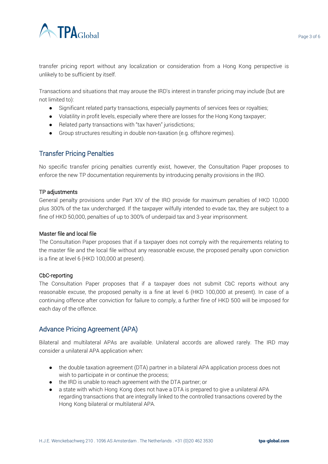

transfer pricing report without any localization or consideration from a Hong Kong perspective is unlikely to be sufficient by itself.

Transactions and situations that may arouse the IRD's interest in transfer pricing may include (but are not limited to):

- Significant related party transactions, especially payments of services fees or royalties;
- Volatility in profit levels, especially where there are losses for the Hong Kong taxpayer;
- Related party transactions with "tax haven" jurisdictions;
- Group structures resulting in double non-taxation (e.g. offshore regimes).

#### Transfer Pricing Penalties

No specific transfer pricing penalties currently exist, however, the Consultation Paper proposes to enforce the new TP documentation requirements by introducing penalty provisions in the IRO.

#### TP adjustments

General penalty provisions under Part XIV of the IRO provide for maximum penalties of HKD 10,000 plus 300% of the tax undercharged. If the taxpayer wilfully intended to evade tax, they are subject to a fine of HKD 50,000, penalties of up to 300% of underpaid tax and 3-year imprisonment.

#### Master file and local file

The Consultation Paper proposes that if a taxpayer does not comply with the requirements relating to the master file and the local file without any reasonable excuse, the proposed penalty upon conviction is a fine at level 6 (HKD 100,000 at present).

#### CbC-reporting

The Consultation Paper proposes that if a taxpayer does not submit CbC reports without any reasonable excuse, the proposed penalty is a fine at level 6 (HKD 100,000 at present). In case of a continuing offence after conviction for failure to comply, a further fine of HKD 500 will be imposed for each day of the offence.

## Advance Pricing Agreement (APA)

Bilateral and multilateral APAs are available. Unilateral accords are allowed rarely. The IRD may consider a unilateral APA application when:

- the double taxation agreement (DTA) partner in a bilateral APA application process does not wish to participate in or continue the process;
- the IRD is unable to reach agreement with the DTA partner; or
- a state with which Hong Kong does not have a DTA is prepared to give a unilateral APA regarding transactions that are integrally linked to the controlled transactions covered by the Hong Kong bilateral or multilateral APA.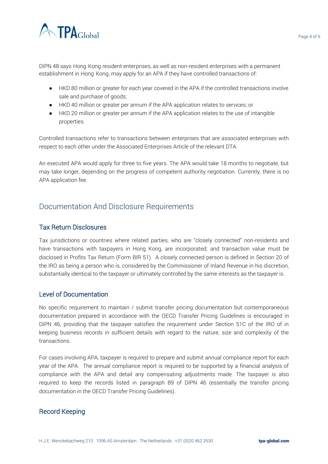

DIPN 48 says Hong Kong resident enterprises, as well as non-resident enterprises with a permanent establishment in Hong Kong, may apply for an APA if they have controlled transactions of:

- HKD 80 million or greater for each year covered in the APA if the controlled transactions involve sale and purchase of goods;
- HKD 40 million or greater per annum if the APA application relates to services; or
- HKD 20 million or greater per annum if the APA application relates to the use of intangible properties.

Controlled transactions refer to transactions between enterprises that are associated enterprises with respect to each other under the Associated Enterprises Article of the relevant DTA.

An executed APA would apply for three to five years. The APA would take 18 months to negotiate, but may take longer, depending on the progress of competent authority negotiation. Currently, there is no APA application fee.

## Documentation And Disclosure Requirements

#### Tax Return Disclosures

Tax jurisdictions or countries where related parties, who are "closely connected" non-residents and have transactions with taxpayers in Hong Kong, are incorporated; and transaction value must be disclosed in Profits Tax Return (Form BIR 51). A closely connected person is defined in Section 20 of the IRO as being a person who is, considered by the Commissioner of Inland Revenue in his discretion, substantially identical to the taxpayer or ultimately controlled by the same interests as the taxpayer is.

#### Level of Documentation

No specific requirement to maintain / submit transfer pricing documentation but contemporaneous documentation prepared in accordance with the OECD Transfer Pricing Guidelines is encouraged in DIPN 46, providing that the taxpayer satisfies the requirement under Section 51C of the IRO of in keeping business records in sufficient details with regard to the nature, size and complexity of the transactions.

For cases involving APA, taxpayer is required to prepare and submit annual compliance report for each year of the APA. The annual compliance report is required to be supported by a financial analysis of compliance with the APA and detail any compensating adjustments made. The taxpayer is also required to keep the records listed in paragraph 89 of DIPN 46 (essentially the transfer pricing documentation in the OECD Transfer Pricing Guidelines).

#### Record Keeping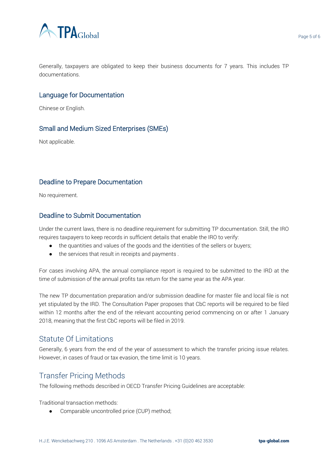

#### Language for Documentation

Chinese or English.

#### Small and Medium Sized Enterprises (SMEs)

Not applicable.

#### Deadline to Prepare Documentation

No requirement.

#### Deadline to Submit Documentation

Under the current laws, there is no deadline requirement for submitting TP documentation. Still, the IRO requires taxpayers to keep records in sufficient details that enable the IRO to verify:

- the quantities and values of the goods and the identities of the sellers or buyers;
- the services that result in receipts and payments .

For cases involving APA, the annual compliance report is required to be submitted to the IRD at the time of submission of the annual profits tax return for the same year as the APA year.

The new TP documentation preparation and/or submission deadline for master file and local file is not yet stipulated by the IRD. The Consultation Paper proposes that CbC reports will be required to be filed within 12 months after the end of the relevant accounting period commencing on or after 1 January 2018, meaning that the first CbC reports will be filed in 2019.

## Statute Of Limitations

Generally, 6 years from the end of the year of assessment to which the transfer pricing issue relates. However, in cases of fraud or tax evasion, the time limit is 10 years.

# Transfer Pricing Methods

The following methods described in OECD Transfer Pricing Guidelines are acceptable:

Traditional transaction methods:

● Comparable uncontrolled price (CUP) method;